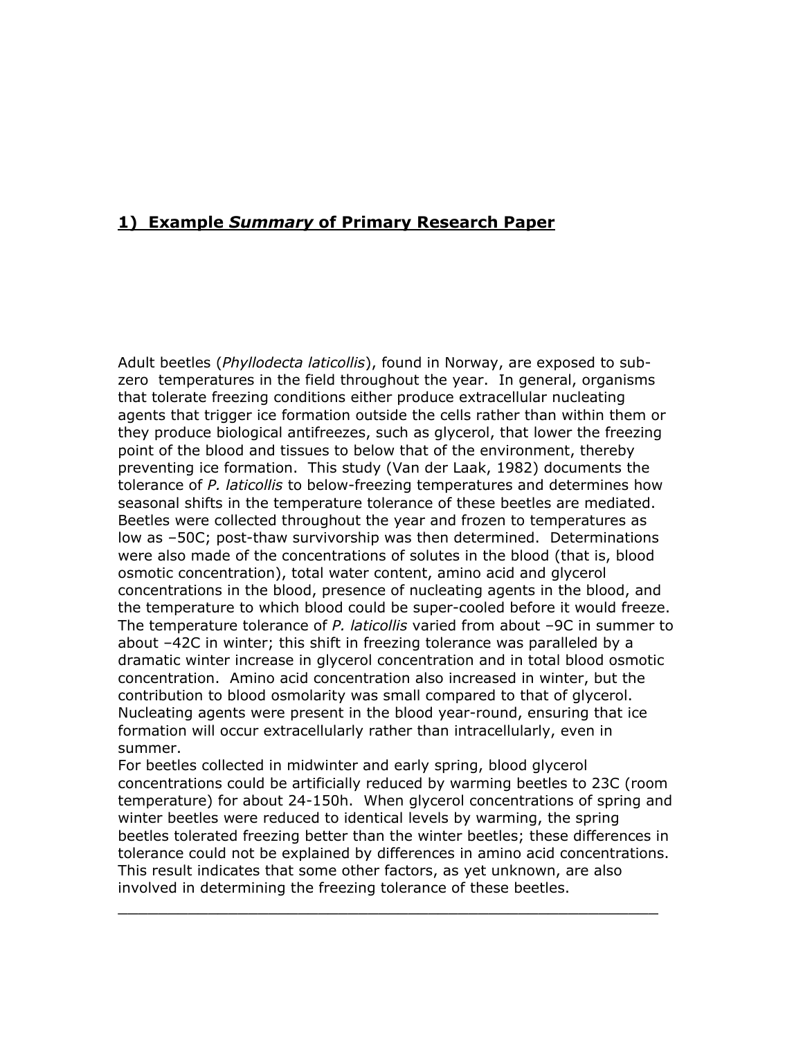## **1) Example** *Summary* **of Primary Research Paper**

Adult beetles (*Phyllodecta laticollis*), found in Norway, are exposed to subzero temperatures in the field throughout the year. In general, organisms that tolerate freezing conditions either produce extracellular nucleating agents that trigger ice formation outside the cells rather than within them or they produce biological antifreezes, such as glycerol, that lower the freezing point of the blood and tissues to below that of the environment, thereby preventing ice formation. This study (Van der Laak, 1982) documents the tolerance of *P. laticollis* to below-freezing temperatures and determines how seasonal shifts in the temperature tolerance of these beetles are mediated. Beetles were collected throughout the year and frozen to temperatures as low as –50C; post-thaw survivorship was then determined. Determinations were also made of the concentrations of solutes in the blood (that is, blood osmotic concentration), total water content, amino acid and glycerol concentrations in the blood, presence of nucleating agents in the blood, and the temperature to which blood could be super-cooled before it would freeze. The temperature tolerance of *P. laticollis* varied from about –9C in summer to about –42C in winter; this shift in freezing tolerance was paralleled by a dramatic winter increase in glycerol concentration and in total blood osmotic concentration. Amino acid concentration also increased in winter, but the contribution to blood osmolarity was small compared to that of glycerol. Nucleating agents were present in the blood year-round, ensuring that ice formation will occur extracellularly rather than intracellularly, even in summer.

For beetles collected in midwinter and early spring, blood glycerol concentrations could be artificially reduced by warming beetles to 23C (room temperature) for about 24-150h. When glycerol concentrations of spring and winter beetles were reduced to identical levels by warming, the spring beetles tolerated freezing better than the winter beetles; these differences in tolerance could not be explained by differences in amino acid concentrations. This result indicates that some other factors, as yet unknown, are also involved in determining the freezing tolerance of these beetles.

\_\_\_\_\_\_\_\_\_\_\_\_\_\_\_\_\_\_\_\_\_\_\_\_\_\_\_\_\_\_\_\_\_\_\_\_\_\_\_\_\_\_\_\_\_\_\_\_\_\_\_\_\_\_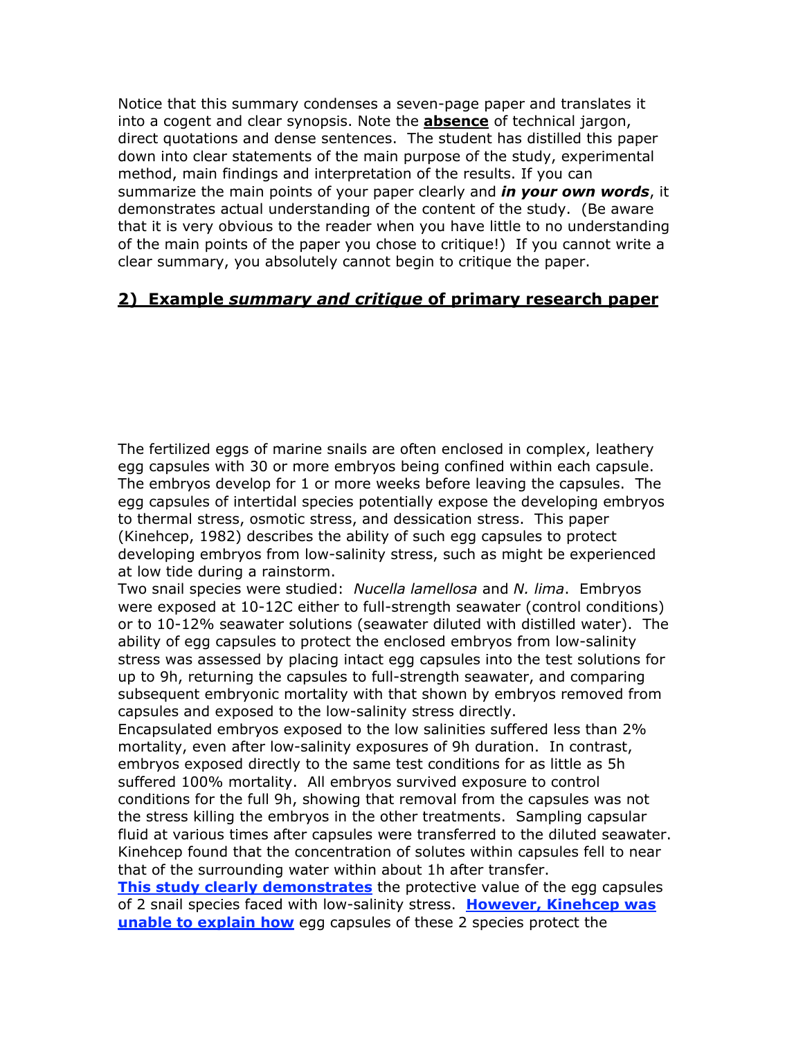Notice that this summary condenses a seven-page paper and translates it into a cogent and clear synopsis. Note the **absence** of technical jargon, direct quotations and dense sentences. The student has distilled this paper down into clear statements of the main purpose of the study, experimental method, main findings and interpretation of the results. If you can summarize the main points of your paper clearly and *in your own words*, it demonstrates actual understanding of the content of the study. (Be aware that it is very obvious to the reader when you have little to no understanding of the main points of the paper you chose to critique!) If you cannot write a clear summary, you absolutely cannot begin to critique the paper.

## **2) Example** *summary and critique* **of primary research paper**

The fertilized eggs of marine snails are often enclosed in complex, leathery egg capsules with 30 or more embryos being confined within each capsule. The embryos develop for 1 or more weeks before leaving the capsules. The egg capsules of intertidal species potentially expose the developing embryos to thermal stress, osmotic stress, and dessication stress. This paper (Kinehcep, 1982) describes the ability of such egg capsules to protect developing embryos from low-salinity stress, such as might be experienced at low tide during a rainstorm.

Two snail species were studied: *Nucella lamellosa* and *N. lima*. Embryos were exposed at 10-12C either to full-strength seawater (control conditions) or to 10-12% seawater solutions (seawater diluted with distilled water). The ability of egg capsules to protect the enclosed embryos from low-salinity stress was assessed by placing intact egg capsules into the test solutions for up to 9h, returning the capsules to full-strength seawater, and comparing subsequent embryonic mortality with that shown by embryos removed from capsules and exposed to the low-salinity stress directly.

Encapsulated embryos exposed to the low salinities suffered less than 2% mortality, even after low-salinity exposures of 9h duration. In contrast, embryos exposed directly to the same test conditions for as little as 5h suffered 100% mortality. All embryos survived exposure to control conditions for the full 9h, showing that removal from the capsules was not the stress killing the embryos in the other treatments. Sampling capsular fluid at various times after capsules were transferred to the diluted seawater. Kinehcep found that the concentration of solutes within capsules fell to near that of the surrounding water within about 1h after transfer.

**This study clearly demonstrates** the protective value of the egg capsules of 2 snail species faced with low-salinity stress. **However, Kinehcep was unable to explain how** egg capsules of these 2 species protect the